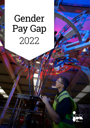# Gender Pay Gap 2022

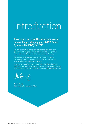## Introduction

### **This report sets out the information and data of the gender pay gap at JDR Cable Systems Ltd (JDR) for 2021.**

Our commitment to reviewing and understanding our gender pay gap continues to support our dedication to promoting a supportive culture to improve diversity and inclusion across our Company.

Although our gender pay gap reduced over the last 12 months, we recognise it is a long term commitment that forms part of our continuous business improvement initiative.

As part of our growth, our new facility in Cambois, Blyth will open by 2024 which will provide opportunities to welcome new talent into JDR and opportunities for our accomplished employees to progress professionally.

 $M_{\rm b}$ 

James Young Chief Strategy & Compliance Officer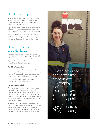## Gender pay gap

Under legislation that came into force in April 2017, UK employers with more than 250 employees are required to annually publish their gender pay gap data by 4th April each year.

A gender pay gap is a measure of the difference in the average pay of men and women working for an organisation, regardless of the nature of their work.

It is different from an equal pay comparison, which involves a direct comparison of two or more people carrying out the same, similar or equivalent jobs.

## How the results are calculated

Employers are required to publish their gender pay gap using six calculations. Four of those calculations are required to use a 'mean' and 'median' calculation. Reporting both 'mean' and 'median' figures provides a broad view of the gender pay gap.

#### **The 'Mean' calculation**

The mean is calculated by adding up the total pay of employees and dividing by the number of employees in the list. This calculation is completed separately for men and women and the totals are compared.

While useful, this average may be skewed by a small number of high or low earners.

#### **The 'Median' calculation**

The median is the number which is in the middle of a ranking of pay from lowest to highest. This calculation is also completed separately for men and women and the middle figure of each group is compared. Statisticians tend to prefer this as a view of 'typical' pay, as extremes of low and high pay do not affect the median.

Unlike the 'mean', the 'median' is not susceptible to positive or negative skewing from small numbers of high or low earners. We believe the 'median' is best used in conjunction with the 'mean' to interpret how JDRs pay is distributed among its employees.

Under legislation that came into force in April 2017, UK employers with more than 250 employees are required to annually publish their gender pay gap data by 4<sup>th</sup> April each year.

**Kable Group**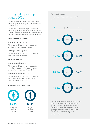## JDR gender pay gap figures 2021

The information in this section sets out the overall gender pay gap and bonus gap of our UK workforce, as of 5th April 2021.

The data that we have used to provide the JDR gender pay gap figures has been obtained from our existing HR and payroll records. This does not involve publishing individual colleagues' information or data.

#### **JDR's statutory GPG figures**

#### Mean gender pay gap: 14.7%

This shows the difference in the average hourly rate of pay between men and women

#### Median gender pay gap: 9.5%

This shows the difference in the middle ranked pay between men and women

#### **Our bonus statistics**

#### Mean bonus gender gap: 49.8%

This shows the difference in the average total amount of bonus payments made to men and women in the 12 months to 5<sup>th</sup> April 2021

#### Median bonus gender gap: 42.8%

This shows the difference in the middle ranked bonus payments made to men and women in the 12 months to 5<sup>th</sup> April 2021

#### **In the 12 months to 5th April 2021:**



#### **Our quartile ranges**

The proportion of men and women in each quartile band:



This shows the percentage of men and women in each pay quartile. Quartiles are calculated by listing the rates of pay for each colleague across JDR from lowest to highest, before splitting that list into four equal-sized groups and calculating the percentage of men and women in each.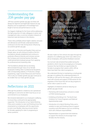## Understanding the JDR gender pay gap

JDR has a positive gender pay gap, but there will always be objective and legitimate reasons for pay disparity such as application of knowledge from length of service and performance in a role.

Our biggest challenge for the future will be addressing the high proportion of male colleagues in senior and management roles, a common situation inherent of historical male dominance in the industry.

These roles justifiably attract higher salaries, bonuses and allowances and female underrepresentation continues to be the main driving factor influencing our positive gender pay gap.

In line with our Diversity and Equality Policy and our People value, we will continue to build on the firm foundations already established and continue to positively influence diversity and inclusion across the Company and minimise barriers that deter underrepresented employee groups from applying for professional and rewarding roles.

The foundations already laid out are being demonstrated through many of our female employees holding roles in professional disciplines, with corresponding salaries, in Production, Design Engineering, Legal, Human Resources and Finance. This is why our median gender pay gap continues to be smaller than our mean gender pay gap.

## Reflections on 2021

Although the pandemic created its own operational challenges to overcome we didn't lose focus on our commitment to our employees.

We remained dedicated to our employee's wellbeing to ensure they continued to be appropriately supported. The introduction of our Hybrid Working Policy and a variation to start and finishing times has empowered our employees with the opportunity to work more flexibly; reducing a known barrier for females applying for roles or progressing to senior positions.

We also made our first venture into apps through the adoption of a wellbeing app which was rolled out to all our employees

por

always

We also made our first venture into apps through the adoption of a wellbeing app which was rolled out to all our employees, with positive feedback received.

Our turnover rate remained favourable during the pandemic which may be encouraging as a Company; however, this has limited our opportunities for females to progress their careers within JDR as there have been few roles to progress to.

We understand the key to maintaining a small gender pay gap is to address the underrepresentation of females at JDR and for this reason JDR continues to work with schools and support STEM events for the engineers of the future that will one day progress to senior roles in years to come.

Highlights of initiatives aimed at reducing our gender pay gap include:

- Partnering with local primary schools to create a STEM mentoring group
- Exhibiting at the Bring it On: The North East Exhibition for Future Engineers and National Apprenticeship week
- Introduction of a Hybrid Working Policy and a variation to start and finishing times to support a positive work/life balance such as combining work with childcare responsibilities.
- Representation on government led initiatives to support the industry to encourage more females into the industry.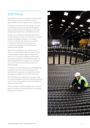## 2022 Focus

As pandemic restrictions are lifted, we look towards 2022 with optimism and enthusiasm for new opportunities for the Company and our employees.

The lifting of restrictions will not change the socialeconomic barriers and occupational segregation that still deter females from applying for roles and progressing to higher level, and higher paid, roles.

As part of our continuous business improvement, we will continue to review our recruitment processes, policies and feedback through our Employee Forums to maintain best practice and continue to reduce the social-economic barriers and occupational segregation that contribute to a positive gender pay gap.

Recruitment will begin for our manufacturing facility in Cambois, Blyth, which will open by 2024. This will present fantastic opportunities for the talent in our Company to progress professionally and create openings for new employees, which we will encourage females to apply for, to contribute to our future business success and reduce our gender pay gap.

Through our annual employee personal development programme, we will work with employees with aspirations of progression and ensure they receive the support to prepare them for their future roles.

The STEM events we support are no longer limited to virtual presentations and 2022 will bring a welcome return to face to face events to meet and inspire the engineers of the future.

We are confident that the foundation laid in previous years will continue to positively influence our gender pay gap moving forward.